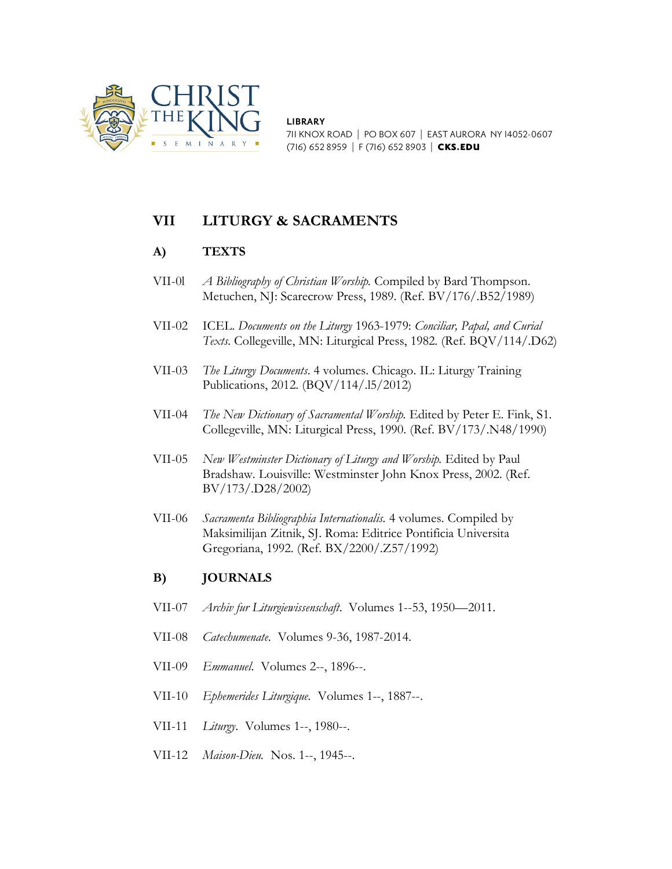

**LIBRARY** 711 KNOX ROAD | PO BOX 607 | EAST AURORA NY 14052-0607 (716) 652 8959 | F (716) 652 8903 | CKS.EDU

## **VII LITURGY & SACRAMENTS**

## **A) TEXTS**

- VII-0l *A Bibliography of Christian Worship.* Compiled by Bard Thompson. Metuchen, NJ: Scarecrow Press, 1989. (Ref. BV/176/.B52/1989)
- VII-02 ICEL. *Documents on the Liturgy* 1963-1979: *Conciliar, Papal, and Curial Texts.* Collegeville, MN: Liturgical Press, 1982. (Ref. BQV/114/.D62)
- VII-03 *The Liturgy Documents*. 4 volumes. Chicago. IL: Liturgy Training Publications, 2012. (BQV/114/.l5/2012)
- VII-04 *The New Dictionary of Sacramental Worship.* Edited by Peter E. Fink, S1. Collegeville, MN: Liturgical Press, 1990. (Ref. BV/173/.N48/1990)
- VII-05 *New Westminster Dictionary of Liturgy and Worship.* Edited by Paul Bradshaw. Louisville: Westminster John Knox Press, 2002. (Ref. BV/173/.D28/2002)
- VII-06 *Sacramenta Bibliographia Internationalis.* 4 volumes. Compiled by Maksimilijan Zitnik, SJ. Roma: Editrice Pontificia Universita Gregoriana, 1992. (Ref. BX/2200/.Z57/1992)

## **B) JOURNALS**

- VII-07 *Archiv fur Liturgiewissenschaft*. Volumes 1--53, 1950—2011.
- VII-08 *Catechumenate.* Volumes 9-36, 1987-2014.
- VII-09 *Emmanuel*. Volumes 2--, 1896--.
- VII-10 *Ephemerides Liturgique.* Volumes 1--, 1887--.
- VII-11 *Liturgy*. Volumes 1--, 1980--.
- VII-12 *Maison-Dieu.* Nos. 1--, 1945--.